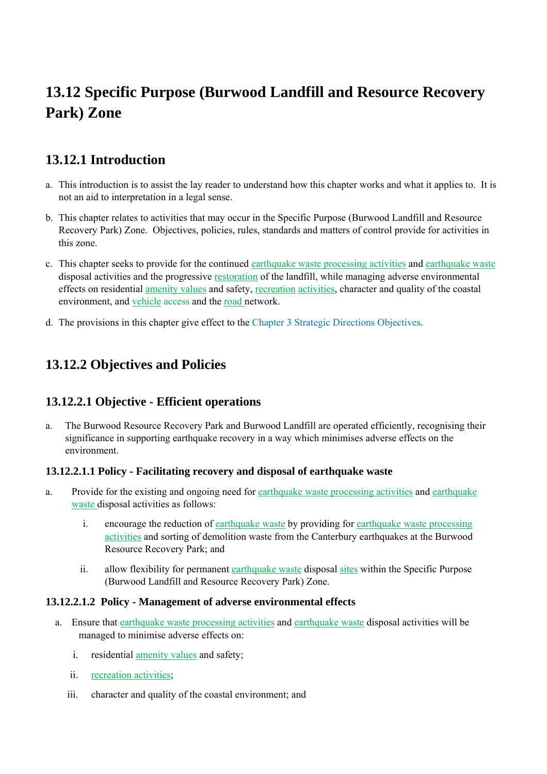# **13.12 Specific Purpose (Burwood Landfill and Resource Recovery Park) Zone**

## **13.12.1 Introduction**

- a. This introduction is to assist the lay reader to understand how this chapter works and what it applies to. It is not an aid to interpretation in a legal sense.
- b. This chapter relates to activities that may occur in the Specific Purpose (Burwood Landfill and Resource Recovery Park) Zone. Objectives, policies, rules, standards and matters of control provide for activities in this zone.
- c. This chapter seeks to provide for the continued earthquake waste processing activities and earthquake waste disposal activities and the progressive restoration of the landfill, while managing adverse environmental effects on residential amenity values and safety, recreation activities, character and quality of the coastal environment, and vehicle access and the road network.
- d. The provisions in this chapter give effect to the Chapter 3 Strategic Directions Objectives.

## **13.12.2 Objectives and Policies**

### **13.12.2.1 Objective - Efficient operations**

a. The Burwood Resource Recovery Park and Burwood Landfill are operated efficiently, recognising their significance in supporting earthquake recovery in a way which minimises adverse effects on the environment.

#### **13.12.2.1.1 Policy - Facilitating recovery and disposal of earthquake waste**

- a. Provide for the existing and ongoing need for earthquake waste processing activities and earthquake waste disposal activities as follows:
	- i. encourage the reduction of earthquake waste by providing for earthquake waste processing activities and sorting of demolition waste from the Canterbury earthquakes at the Burwood Resource Recovery Park; and
	- ii. allow flexibility for permanent earthquake waste disposal sites within the Specific Purpose (Burwood Landfill and Resource Recovery Park) Zone.

#### **13.12.2.1.2 Policy - Management of adverse environmental effects**

- a. Ensure that earthquake waste processing activities and earthquake waste disposal activities will be managed to minimise adverse effects on:
	- i. residential amenity values and safety;
	- ii. recreation activities;
	- iii. character and quality of the coastal environment; and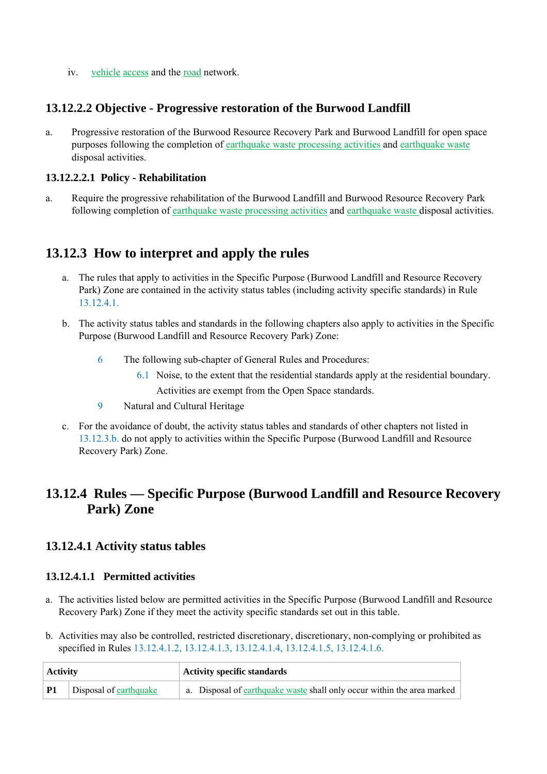iv. vehicle access and the road network.

#### **13.12.2.2 Objective - Progressive restoration of the Burwood Landfill**

a. Progressive restoration of the Burwood Resource Recovery Park and Burwood Landfill for open space purposes following the completion of earthquake waste processing activities and earthquake waste disposal activities.

#### **13.12.2.2.1 Policy - Rehabilitation**

a. Require the progressive rehabilitation of the Burwood Landfill and Burwood Resource Recovery Park following completion of earthquake waste processing activities and earthquake waste disposal activities.

## **13.12.3 How to interpret and apply the rules**

- a. The rules that apply to activities in the Specific Purpose (Burwood Landfill and Resource Recovery Park) Zone are contained in the activity status tables (including activity specific standards) in Rule 13.12.4.1.
- b. The activity status tables and standards in the following chapters also apply to activities in the Specific Purpose (Burwood Landfill and Resource Recovery Park) Zone:
	- 6 The following sub-chapter of General Rules and Procedures:
		- 6.1 Noise, to the extent that the residential standards apply at the residential boundary.

Activities are exempt from the Open Space standards.

- 9 Natural and Cultural Heritage
- c. For the avoidance of doubt, the activity status tables and standards of other chapters not listed in 13.12.3.b. do not apply to activities within the Specific Purpose (Burwood Landfill and Resource Recovery Park) Zone.

## **13.12.4 Rules — Specific Purpose (Burwood Landfill and Resource Recovery Park) Zone**

### **13.12.4.1 Activity status tables**

#### **13.12.4.1.1 Permitted activities**

- a. The activities listed below are permitted activities in the Specific Purpose (Burwood Landfill and Resource Recovery Park) Zone if they meet the activity specific standards set out in this table.
- b. Activities may also be controlled, restricted discretionary, discretionary, non-complying or prohibited as specified in Rules 13.12.4.1.2, 13.12.4.1.3, 13.12.4.1.4, 13.12.4.1.5, 13.12.4.1.6.

| <b>Activity</b> |                        | <b>Activity specific standards</b>                                      |  |
|-----------------|------------------------|-------------------------------------------------------------------------|--|
| <b>P1</b>       | Disposal of earthquake | a. Disposal of earthquake waste shall only occur within the area marked |  |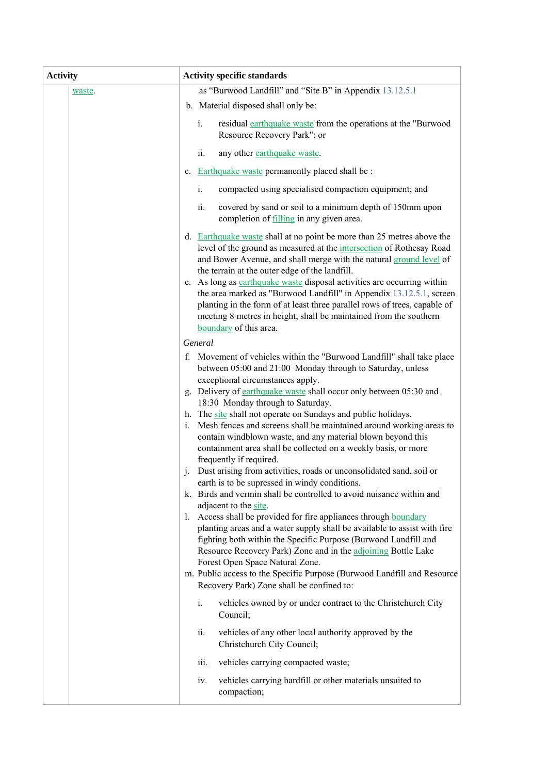| <b>Activity</b> | <b>Activity specific standards</b>                                                                                                                                                                                                                                                                                                                                                                                                                                                                                                                                                                                                                                                                                                                                                                                                                                                                                                                                                                                                                                                                                                                                                                                                                                                                 |
|-----------------|----------------------------------------------------------------------------------------------------------------------------------------------------------------------------------------------------------------------------------------------------------------------------------------------------------------------------------------------------------------------------------------------------------------------------------------------------------------------------------------------------------------------------------------------------------------------------------------------------------------------------------------------------------------------------------------------------------------------------------------------------------------------------------------------------------------------------------------------------------------------------------------------------------------------------------------------------------------------------------------------------------------------------------------------------------------------------------------------------------------------------------------------------------------------------------------------------------------------------------------------------------------------------------------------------|
| waste.          | as "Burwood Landfill" and "Site B" in Appendix 13.12.5.1                                                                                                                                                                                                                                                                                                                                                                                                                                                                                                                                                                                                                                                                                                                                                                                                                                                                                                                                                                                                                                                                                                                                                                                                                                           |
|                 | b. Material disposed shall only be:                                                                                                                                                                                                                                                                                                                                                                                                                                                                                                                                                                                                                                                                                                                                                                                                                                                                                                                                                                                                                                                                                                                                                                                                                                                                |
|                 | residual earthquake waste from the operations at the "Burwood<br>$i_{\cdot}$<br>Resource Recovery Park"; or                                                                                                                                                                                                                                                                                                                                                                                                                                                                                                                                                                                                                                                                                                                                                                                                                                                                                                                                                                                                                                                                                                                                                                                        |
|                 | ii.<br>any other earthquake waste.                                                                                                                                                                                                                                                                                                                                                                                                                                                                                                                                                                                                                                                                                                                                                                                                                                                                                                                                                                                                                                                                                                                                                                                                                                                                 |
|                 | c. Earthquake waste permanently placed shall be :                                                                                                                                                                                                                                                                                                                                                                                                                                                                                                                                                                                                                                                                                                                                                                                                                                                                                                                                                                                                                                                                                                                                                                                                                                                  |
|                 | i.<br>compacted using specialised compaction equipment; and                                                                                                                                                                                                                                                                                                                                                                                                                                                                                                                                                                                                                                                                                                                                                                                                                                                                                                                                                                                                                                                                                                                                                                                                                                        |
|                 | ii.<br>covered by sand or soil to a minimum depth of 150mm upon<br>completion of filling in any given area.                                                                                                                                                                                                                                                                                                                                                                                                                                                                                                                                                                                                                                                                                                                                                                                                                                                                                                                                                                                                                                                                                                                                                                                        |
|                 | d. Earthquake waste shall at no point be more than 25 metres above the<br>level of the ground as measured at the intersection of Rothesay Road<br>and Bower Avenue, and shall merge with the natural ground level of<br>the terrain at the outer edge of the landfill.<br>e. As long as earthquake waste disposal activities are occurring within<br>the area marked as "Burwood Landfill" in Appendix 13.12.5.1, screen<br>planting in the form of at least three parallel rows of trees, capable of<br>meeting 8 metres in height, shall be maintained from the southern<br>boundary of this area.                                                                                                                                                                                                                                                                                                                                                                                                                                                                                                                                                                                                                                                                                               |
|                 | General                                                                                                                                                                                                                                                                                                                                                                                                                                                                                                                                                                                                                                                                                                                                                                                                                                                                                                                                                                                                                                                                                                                                                                                                                                                                                            |
|                 | f. Movement of vehicles within the "Burwood Landfill" shall take place<br>between 05:00 and 21:00 Monday through to Saturday, unless<br>exceptional circumstances apply.<br>g. Delivery of earthquake waste shall occur only between 05:30 and<br>18:30 Monday through to Saturday.<br>h. The site shall not operate on Sundays and public holidays.<br>Mesh fences and screens shall be maintained around working areas to<br>$i$ .<br>contain windblown waste, and any material blown beyond this<br>containment area shall be collected on a weekly basis, or more<br>frequently if required.<br>Dust arising from activities, roads or unconsolidated sand, soil or<br>$\cdot$<br>earth is to be supressed in windy conditions.<br>k. Birds and vermin shall be controlled to avoid nuisance within and<br>adjacent to the site.<br>Access shall be provided for fire appliances through boundary<br>$\mathbf{I}$ .<br>planting areas and a water supply shall be available to assist with fire<br>fighting both within the Specific Purpose (Burwood Landfill and<br>Resource Recovery Park) Zone and in the adjoining Bottle Lake<br>Forest Open Space Natural Zone.<br>m. Public access to the Specific Purpose (Burwood Landfill and Resource<br>Recovery Park) Zone shall be confined to: |
|                 | vehicles owned by or under contract to the Christchurch City<br>i.<br>Council;                                                                                                                                                                                                                                                                                                                                                                                                                                                                                                                                                                                                                                                                                                                                                                                                                                                                                                                                                                                                                                                                                                                                                                                                                     |
|                 | ii.<br>vehicles of any other local authority approved by the<br>Christehurch City Council;                                                                                                                                                                                                                                                                                                                                                                                                                                                                                                                                                                                                                                                                                                                                                                                                                                                                                                                                                                                                                                                                                                                                                                                                         |
|                 | iii.<br>vehicles carrying compacted waste;                                                                                                                                                                                                                                                                                                                                                                                                                                                                                                                                                                                                                                                                                                                                                                                                                                                                                                                                                                                                                                                                                                                                                                                                                                                         |
|                 | vehicles carrying hardfill or other materials unsuited to<br>iv.<br>compaction;                                                                                                                                                                                                                                                                                                                                                                                                                                                                                                                                                                                                                                                                                                                                                                                                                                                                                                                                                                                                                                                                                                                                                                                                                    |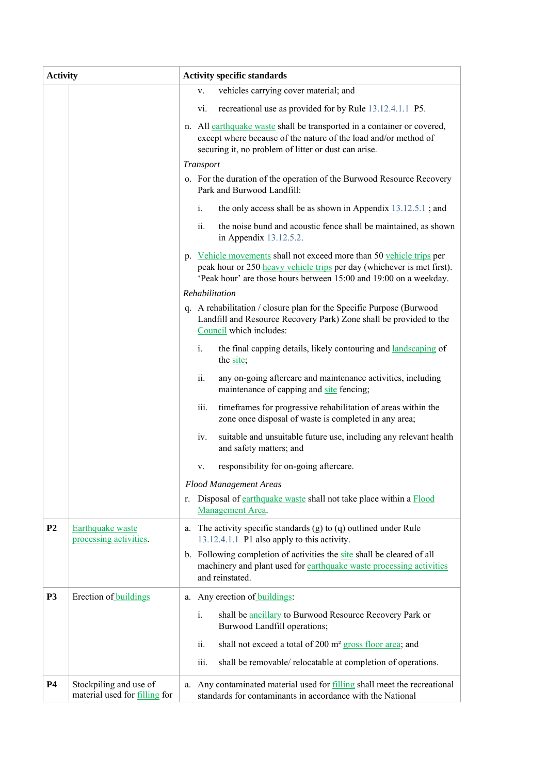| <b>Activity</b> |                                                         | <b>Activity specific standards</b>                                                                                                                                                                                  |
|-----------------|---------------------------------------------------------|---------------------------------------------------------------------------------------------------------------------------------------------------------------------------------------------------------------------|
|                 |                                                         | vehicles carrying cover material; and<br>V.                                                                                                                                                                         |
|                 |                                                         | recreational use as provided for by Rule 13.12.4.1.1 P5.<br>vi.                                                                                                                                                     |
|                 |                                                         | n. All earthquake waste shall be transported in a container or covered,<br>except where because of the nature of the load and/or method of<br>securing it, no problem of litter or dust can arise.                  |
|                 |                                                         | Transport                                                                                                                                                                                                           |
|                 |                                                         | o. For the duration of the operation of the Burwood Resource Recovery<br>Park and Burwood Landfill:                                                                                                                 |
|                 |                                                         | i.<br>the only access shall be as shown in Appendix $13.12.5.1$ ; and                                                                                                                                               |
|                 |                                                         | ii.<br>the noise bund and acoustic fence shall be maintained, as shown<br>in Appendix 13.12.5.2.                                                                                                                    |
|                 |                                                         | p. Vehicle movements shall not exceed more than 50 vehicle trips per<br>peak hour or 250 heavy vehicle trips per day (whichever is met first).<br>'Peak hour' are those hours between 15:00 and 19:00 on a weekday. |
|                 |                                                         | Rehabilitation                                                                                                                                                                                                      |
|                 |                                                         | q. A rehabilitation / closure plan for the Specific Purpose (Burwood<br>Landfill and Resource Recovery Park) Zone shall be provided to the<br>Council which includes:                                               |
|                 |                                                         | the final capping details, likely contouring and landscaping of<br>i.<br>the site;                                                                                                                                  |
|                 |                                                         | ii.<br>any on-going aftercare and maintenance activities, including<br>maintenance of capping and site fencing;                                                                                                     |
|                 |                                                         | iii.<br>timeframes for progressive rehabilitation of areas within the<br>zone once disposal of waste is completed in any area;                                                                                      |
|                 |                                                         | suitable and unsuitable future use, including any relevant health<br>iv.<br>and safety matters; and                                                                                                                 |
|                 |                                                         | responsibility for on-going aftercare.<br>V.                                                                                                                                                                        |
|                 |                                                         | <b>Flood Management Areas</b>                                                                                                                                                                                       |
|                 |                                                         | Disposal of earthquake waste shall not take place within a Flood<br>r.<br>Management Area.                                                                                                                          |
| P <sub>2</sub>  | Earthquake waste<br>processing activities.              | a. The activity specific standards (g) to (q) outlined under Rule<br>13.12.4.1.1 P1 also apply to this activity.                                                                                                    |
|                 |                                                         | b. Following completion of activities the site shall be cleared of all<br>machinery and plant used for earthquake waste processing activities<br>and reinstated.                                                    |
| <b>P3</b>       | Erection of buildings                                   | Any erection of <b>buildings</b> :<br>а.                                                                                                                                                                            |
|                 |                                                         | i.<br>shall be <b>ancillary</b> to Burwood Resource Recovery Park or<br>Burwood Landfill operations;                                                                                                                |
|                 |                                                         | shall not exceed a total of 200 m <sup>2</sup> gross floor area; and<br>ii.                                                                                                                                         |
|                 |                                                         | iii.<br>shall be removable/ relocatable at completion of operations.                                                                                                                                                |
| <b>P4</b>       | Stockpiling and use of<br>material used for filling for | Any contaminated material used for filling shall meet the recreational<br>a.<br>standards for contaminants in accordance with the National                                                                          |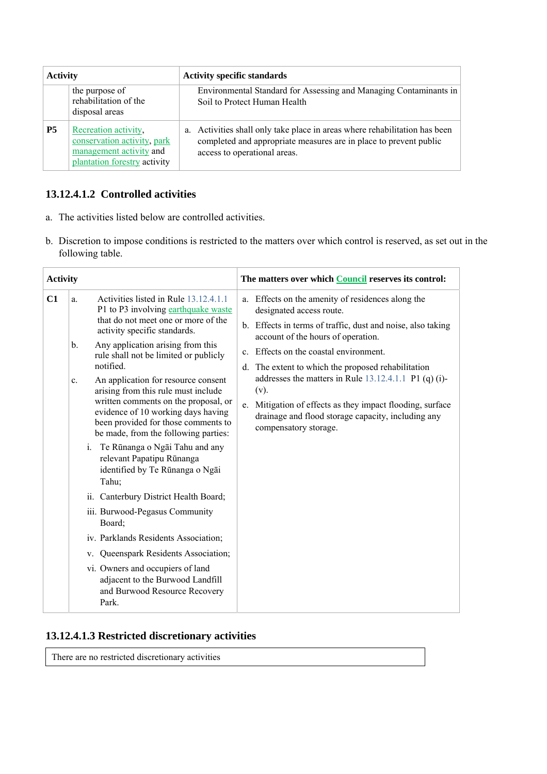| <b>Activity</b> |                                                                                                                | <b>Activity specific standards</b>                                                                                                                                              |
|-----------------|----------------------------------------------------------------------------------------------------------------|---------------------------------------------------------------------------------------------------------------------------------------------------------------------------------|
|                 | the purpose of<br>rehabilitation of the<br>disposal areas                                                      | Environmental Standard for Assessing and Managing Contaminants in<br>Soil to Protect Human Health                                                                               |
| <b>P5</b>       | Recreation activity,<br>conservation activity, park<br>management activity and<br>plantation forestry activity | a. Activities shall only take place in areas where rehabilitation has been<br>completed and appropriate measures are in place to prevent public<br>access to operational areas. |

### **13.12.4.1.2 Controlled activities**

- a. The activities listed below are controlled activities.
- b. Discretion to impose conditions is restricted to the matters over which control is reserved, as set out in the following table.

| <b>Activity</b> |                                                                                                                                                                                                                                                                                                                                                                                                                                                                                                                                                                                                                                                                                                                                                                                                                                                                                                                     | The matters over which Council reserves its control:                                                                                                                                                                                                                                                                                                                                                                                                                                                 |
|-----------------|---------------------------------------------------------------------------------------------------------------------------------------------------------------------------------------------------------------------------------------------------------------------------------------------------------------------------------------------------------------------------------------------------------------------------------------------------------------------------------------------------------------------------------------------------------------------------------------------------------------------------------------------------------------------------------------------------------------------------------------------------------------------------------------------------------------------------------------------------------------------------------------------------------------------|------------------------------------------------------------------------------------------------------------------------------------------------------------------------------------------------------------------------------------------------------------------------------------------------------------------------------------------------------------------------------------------------------------------------------------------------------------------------------------------------------|
| C1              | Activities listed in Rule 13.12.4.1.1<br>a.<br>P1 to P3 involving earthquake waste<br>that do not meet one or more of the<br>activity specific standards.<br>Any application arising from this<br>b.<br>rule shall not be limited or publicly<br>notified.<br>An application for resource consent<br>c.<br>arising from this rule must include<br>written comments on the proposal, or<br>evidence of 10 working days having<br>been provided for those comments to<br>be made, from the following parties:<br>Te Rūnanga o Ngāi Tahu and any<br>i.<br>relevant Papatipu Rūnanga<br>identified by Te Rūnanga o Ngāi<br>Tahu;<br>ii. Canterbury District Health Board;<br>iii. Burwood-Pegasus Community<br>Board;<br>iv. Parklands Residents Association;<br>v. Queenspark Residents Association;<br>vi. Owners and occupiers of land<br>adjacent to the Burwood Landfill<br>and Burwood Resource Recovery<br>Park. | a. Effects on the amenity of residences along the<br>designated access route.<br>b. Effects in terms of traffic, dust and noise, also taking<br>account of the hours of operation.<br>c. Effects on the coastal environment.<br>d. The extent to which the proposed rehabilitation<br>addresses the matters in Rule $13.12.4.1.1$ P1 (q) (i)-<br>$(v)$ .<br>e. Mitigation of effects as they impact flooding, surface<br>drainage and flood storage capacity, including any<br>compensatory storage. |

### **13.12.4.1.3 Restricted discretionary activities**

There are no restricted discretionary activities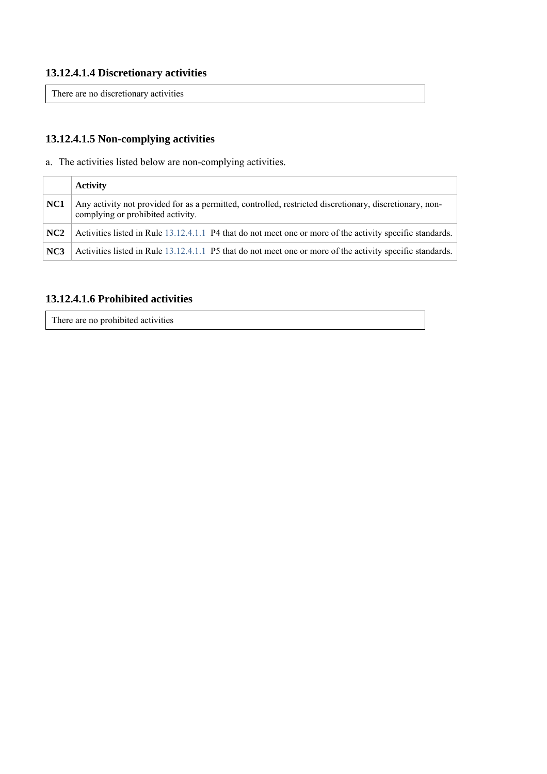#### **13.12.4.1.4 Discretionary activities**

There are no discretionary activities

## **13.12.4.1.5 Non-complying activities**

a. The activities listed below are non-complying activities.

|                 | <b>Activity</b>                                                                                                                              |
|-----------------|----------------------------------------------------------------------------------------------------------------------------------------------|
| NC1             | Any activity not provided for as a permitted, controlled, restricted discretionary, discretionary, non-<br>complying or prohibited activity. |
| NC <sub>2</sub> | Activities listed in Rule 13.12.4.1.1 P4 that do not meet one or more of the activity specific standards.                                    |
| NC <sub>3</sub> | Activities listed in Rule 13.12.4.1.1 P5 that do not meet one or more of the activity specific standards.                                    |

### **13.12.4.1.6 Prohibited activities**

There are no prohibited activities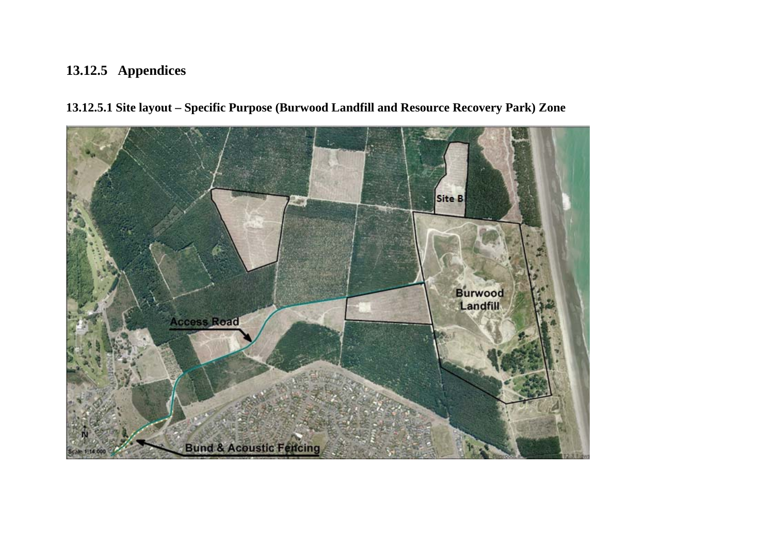# **13.12.5 Appendices**

**13.12.5.1 Site layout – Specific Purpose (Burwood Landfill and Resource Recovery Park) Zone**